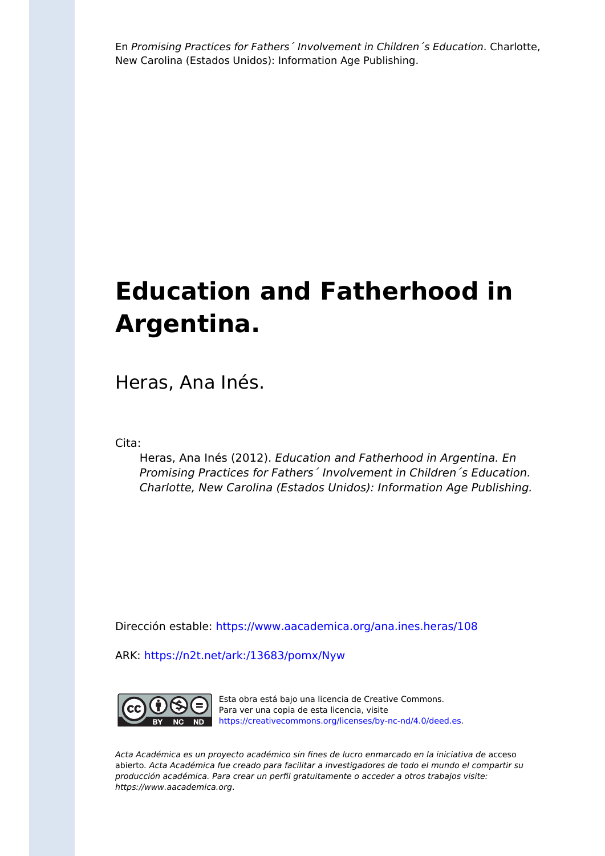En Promising Practices for Fathers´ Involvement in Children´s Education. Charlotte, New Carolina (Estados Unidos): Information Age Publishing.

# **Education and Fatherhood in Argentina.**

Heras, Ana Inés.

Cita:

Heras, Ana Inés (2012). Education and Fatherhood in Argentina. En Promising Practices for Fathers´ Involvement in Children´s Education. Charlotte, New Carolina (Estados Unidos): Information Age Publishing.

Dirección estable:<https://www.aacademica.org/ana.ines.heras/108>

ARK: <https://n2t.net/ark:/13683/pomx/Nyw>



Esta obra está bajo una licencia de Creative Commons. Para ver una copia de esta licencia, visite [https://creativecommons.org/licenses/by-nc-nd/4.0/deed.es.](https://creativecommons.org/licenses/by-nc-nd/4.0/deed.es)

Acta Académica es un proyecto académico sin fines de lucro enmarcado en la iniciativa de acceso abierto. Acta Académica fue creado para facilitar a investigadores de todo el mundo el compartir su producción académica. Para crear un perfil gratuitamente o acceder a otros trabajos visite: https://www.aacademica.org.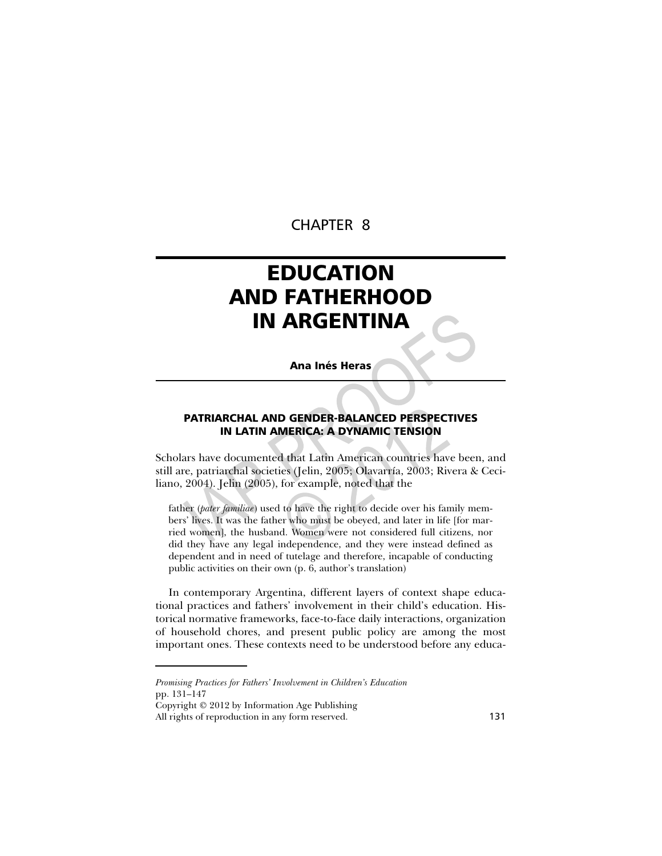# CHAPTER 8

# EDUCATION AND FATHERHOOD IN ARGENTINA

Ana Inés Heras

# PATRIARCHAL AND GENDER-BALANCED PERSPECTIVES IN LATIN AMERICA: A DYNAMIC TENSION

Scholars have documented that Latin American countries have been, and still are, patriarchal societies (Jelin, 2005; Olavarría, 2003; Rivera & Ceciliano, 2004). Jelin (2005), for example, noted that the

father (pater familiae) used to have the right to decide over his family members' lives. It was the father who must be obeyed, and later in life [for married women], the husband. Women were not considered full citizens, nor did they have any legal independence, and they were instead defined as dependent and in need of tutelage and therefore, incapable of conducting public activities on their own (p. 6, author's translation)

In contemporary Argentina, different layers of context shape educational practices and fathers' involvement in their child's education. Historical normative frameworks, face-to-face daily interactions, organization of household chores, and present public policy are among the most important ones. These contexts need to be understood before any educa-

Promising Practices for Fathers' Involvement in Children's Education pp. 131–147

Copyright © 2012 by Information Age Publishing

All rights of reproduction in any form reserved. 131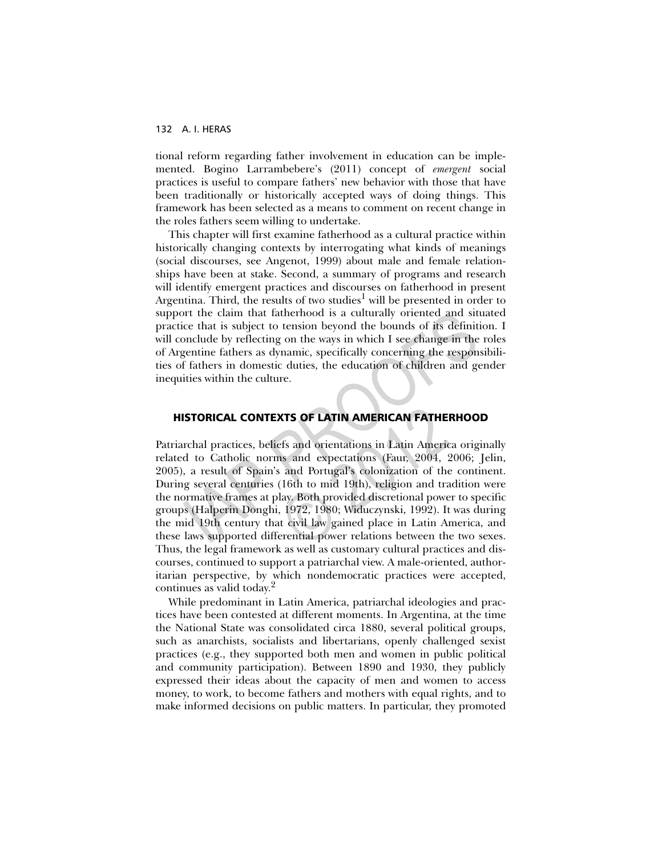tional reform regarding father involvement in education can be implemented. Bogino Larrambebere's (2011) concept of emergent social practices is useful to compare fathers' new behavior with those that have been traditionally or historically accepted ways of doing things. This framework has been selected as a means to comment on recent change in the roles fathers seem willing to undertake.

This chapter will first examine fatherhood as a cultural practice within historically changing contexts by interrogating what kinds of meanings (social discourses, see Angenot, 1999) about male and female relationships have been at stake. Second, a summary of programs and research will identify emergent practices and discourses on fatherhood in present Argentina. Third, the results of two studies<sup>1</sup> will be presented in order to support the claim that fatherhood is a culturally oriented and situated practice that is subject to tension beyond the bounds of its definition. I will conclude by reflecting on the ways in which I see change in the roles of Argentine fathers as dynamic, specifically concerning the responsibilities of fathers in domestic duties, the education of children and gender inequities within the culture.

#### HISTORICAL CONTEXTS OF LATIN AMERICAN FATHERHOOD

Patriarchal practices, beliefs and orientations in Latin America originally related to Catholic norms and expectations (Faur, 2004, 2006; Jelin, 2005), a result of Spain's and Portugal's colonization of the continent. During several centuries (16th to mid 19th), religion and tradition were the normative frames at play. Both provided discretional power to specific groups (Halperin Donghi, 1972, 1980; Widuczynski, 1992). It was during the mid 19th century that civil law gained place in Latin America, and these laws supported differential power relations between the two sexes. Thus, the legal framework as well as customary cultural practices and discourses, continued to support a patriarchal view. A male-oriented, authoritarian perspective, by which nondemocratic practices were accepted, continues as valid today.<sup>2</sup>

While predominant in Latin America, patriarchal ideologies and practices have been contested at different moments. In Argentina, at the time the National State was consolidated circa 1880, several political groups, such as anarchists, socialists and libertarians, openly challenged sexist practices (e.g., they supported both men and women in public political and community participation). Between 1890 and 1930, they publicly expressed their ideas about the capacity of men and women to access money, to work, to become fathers and mothers with equal rights, and to make informed decisions on public matters. In particular, they promoted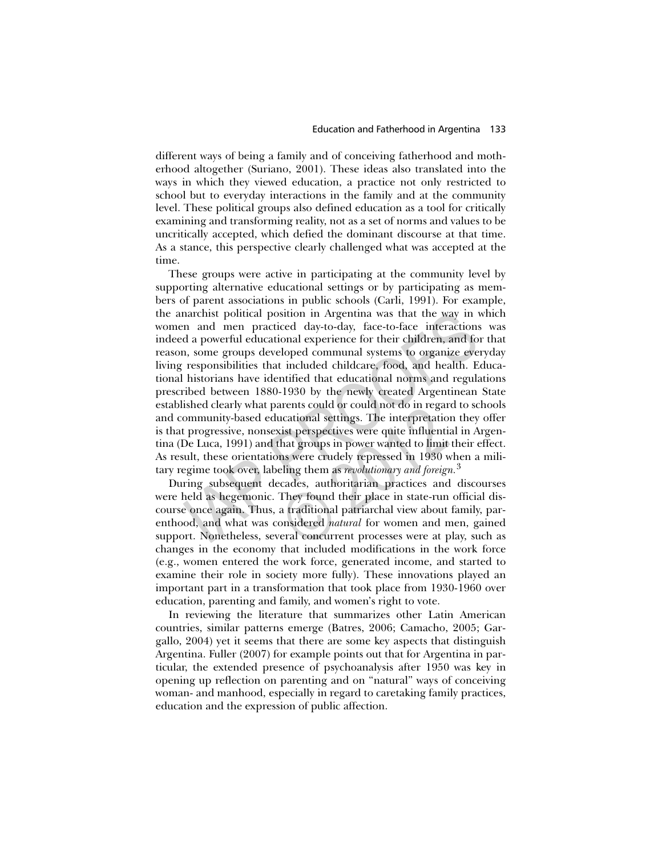different ways of being a family and of conceiving fatherhood and motherhood altogether (Suriano, 2001). These ideas also translated into the ways in which they viewed education, a practice not only restricted to school but to everyday interactions in the family and at the community level. These political groups also defined education as a tool for critically examining and transforming reality, not as a set of norms and values to be uncritically accepted, which defied the dominant discourse at that time. As a stance, this perspective clearly challenged what was accepted at the time.

These groups were active in participating at the community level by supporting alternative educational settings or by participating as members of parent associations in public schools (Carli, 1991). For example, the anarchist political position in Argentina was that the way in which women and men practiced day-to-day, face-to-face interactions was indeed a powerful educational experience for their children, and for that reason, some groups developed communal systems to organize everyday living responsibilities that included childcare, food, and health. Educational historians have identified that educational norms and regulations prescribed between 1880-1930 by the newly created Argentinean State established clearly what parents could or could not do in regard to schools and community-based educational settings. The interpretation they offer is that progressive, nonsexist perspectives were quite influential in Argentina (De Luca, 1991) and that groups in power wanted to limit their effect. As result, these orientations were crudely repressed in 1930 when a military regime took over, labeling them as *revolutionary and foreign*.<sup>3</sup>

During subsequent decades, authoritarian practices and discourses were held as hegemonic. They found their place in state-run official discourse once again. Thus, a traditional patriarchal view about family, parenthood, and what was considered natural for women and men, gained support. Nonetheless, several concurrent processes were at play, such as changes in the economy that included modifications in the work force (e.g., women entered the work force, generated income, and started to examine their role in society more fully). These innovations played an important part in a transformation that took place from 1930-1960 over education, parenting and family, and women's right to vote.

In reviewing the literature that summarizes other Latin American countries, similar patterns emerge (Batres, 2006; Camacho, 2005; Gargallo, 2004) yet it seems that there are some key aspects that distinguish Argentina. Fuller (2007) for example points out that for Argentina in particular, the extended presence of psychoanalysis after 1950 was key in opening up reflection on parenting and on "natural" ways of conceiving woman- and manhood, especially in regard to caretaking family practices, education and the expression of public affection.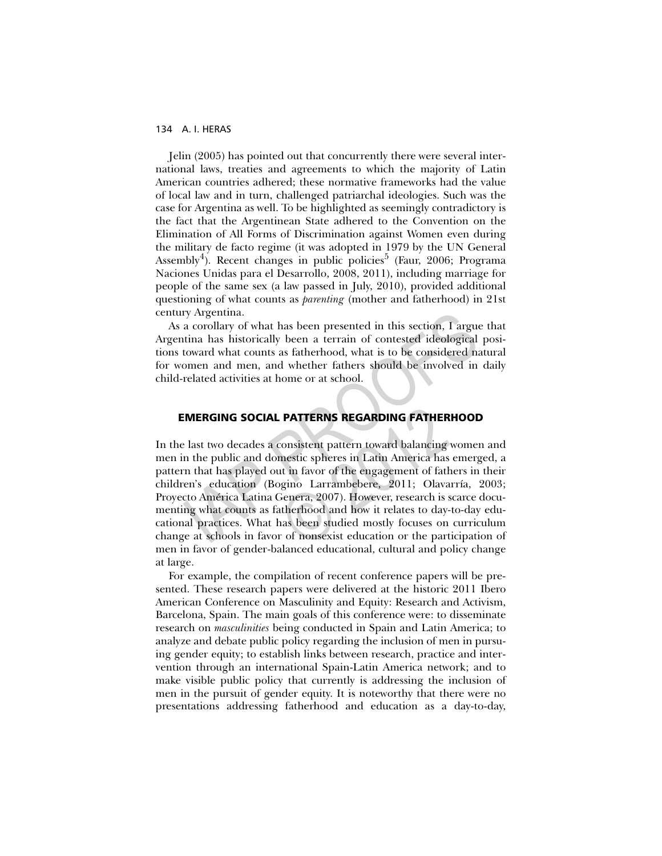Jelin (2005) has pointed out that concurrently there were several international laws, treaties and agreements to which the majority of Latin American countries adhered; these normative frameworks had the value of local law and in turn, challenged patriarchal ideologies. Such was the case for Argentina as well. To be highlighted as seemingly contradictory is the fact that the Argentinean State adhered to the Convention on the Elimination of All Forms of Discrimination against Women even during the military de facto regime (it was adopted in 1979 by the UN General Assembly<sup>4</sup>). Recent changes in public policies<sup>5</sup> (Faur, 2006; Programa Naciones Unidas para el Desarrollo, 2008, 2011), including marriage for people of the same sex (a law passed in July, 2010), provided additional questioning of what counts as parenting (mother and fatherhood) in 21st century Argentina.

As a corollary of what has been presented in this section, I argue that Argentina has historically been a terrain of contested ideological positions toward what counts as fatherhood, what is to be considered natural for women and men, and whether fathers should be involved in daily child-related activities at home or at school.

### EMERGING SOCIAL PATTERNS REGARDING FATHERHOOD

In the last two decades a consistent pattern toward balancing women and men in the public and domestic spheres in Latin America has emerged, a pattern that has played out in favor of the engagement of fathers in their children's education (Bogino Larrambebere, 2011; Olavarría, 2003; Proyecto América Latina Genera, 2007). However, research is scarce documenting what counts as fatherhood and how it relates to day-to-day educational practices. What has been studied mostly focuses on curriculum change at schools in favor of nonsexist education or the participation of men in favor of gender-balanced educational, cultural and policy change at large.

For example, the compilation of recent conference papers will be presented. These research papers were delivered at the historic 2011 Ibero American Conference on Masculinity and Equity: Research and Activism, Barcelona, Spain. The main goals of this conference were: to disseminate research on masculinities being conducted in Spain and Latin America; to analyze and debate public policy regarding the inclusion of men in pursuing gender equity; to establish links between research, practice and intervention through an international Spain-Latin America network; and to make visible public policy that currently is addressing the inclusion of men in the pursuit of gender equity. It is noteworthy that there were no presentations addressing fatherhood and education as a day-to-day,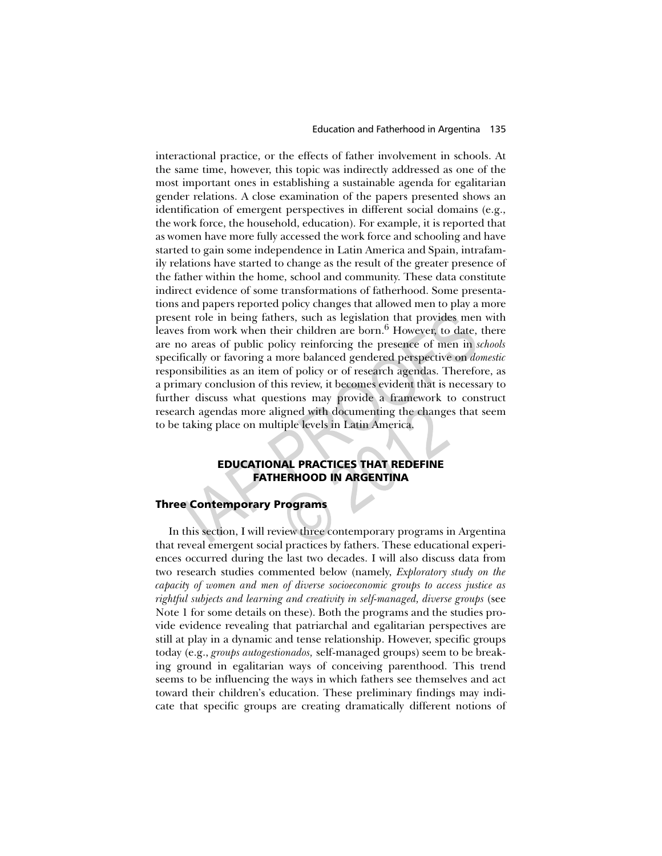interactional practice, or the effects of father involvement in schools. At the same time, however, this topic was indirectly addressed as one of the most important ones in establishing a sustainable agenda for egalitarian gender relations. A close examination of the papers presented shows an identification of emergent perspectives in different social domains (e.g., the work force, the household, education). For example, it is reported that as women have more fully accessed the work force and schooling and have started to gain some independence in Latin America and Spain, intrafamily relations have started to change as the result of the greater presence of the father within the home, school and community. These data constitute indirect evidence of some transformations of fatherhood. Some presentations and papers reported policy changes that allowed men to play a more present role in being fathers, such as legislation that provides men with leaves from work when their children are born. $6$  However, to date, there are no areas of public policy reinforcing the presence of men in schools specifically or favoring a more balanced gendered perspective on domestic responsibilities as an item of policy or of research agendas. Therefore, as a primary conclusion of this review, it becomes evident that is necessary to further discuss what questions may provide a framework to construct research agendas more aligned with documenting the changes that seem to be taking place on multiple levels in Latin America.

# EDUCATIONAL PRACTICES THAT REDEFINE FATHERHOOD IN ARGENTINA

#### Three Contemporary Programs

In this section, I will review three contemporary programs in Argentina that reveal emergent social practices by fathers. These educational experiences occurred during the last two decades. I will also discuss data from two research studies commented below (namely, Exploratory study on the capacity of women and men of diverse socioeconomic groups to access justice as rightful subjects and learning and creativity in self-managed, diverse groups (see Note 1 for some details on these). Both the programs and the studies provide evidence revealing that patriarchal and egalitarian perspectives are still at play in a dynamic and tense relationship. However, specific groups today (e.g., groups autogestionados, self-managed groups) seem to be breaking ground in egalitarian ways of conceiving parenthood. This trend seems to be influencing the ways in which fathers see themselves and act toward their children's education. These preliminary findings may indicate that specific groups are creating dramatically different notions of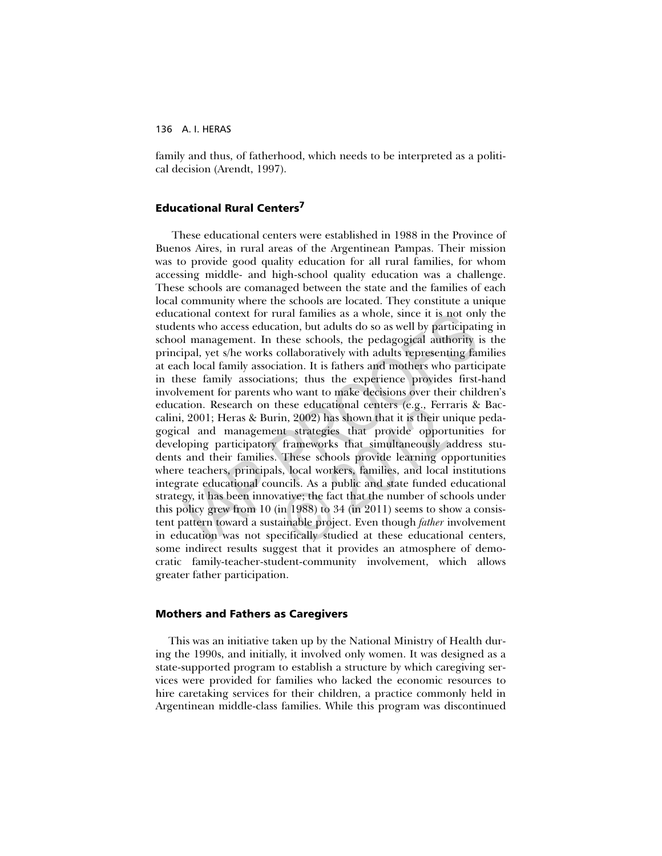family and thus, of fatherhood, which needs to be interpreted as a political decision (Arendt, 1997).

## Educational Rural Centers<sup>7</sup>

 These educational centers were established in 1988 in the Province of Buenos Aires, in rural areas of the Argentinean Pampas. Their mission was to provide good quality education for all rural families, for whom accessing middle- and high-school quality education was a challenge. These schools are comanaged between the state and the families of each local community where the schools are located. They constitute a unique educational context for rural families as a whole, since it is not only the students who access education, but adults do so as well by participating in school management. In these schools, the pedagogical authority is the principal, yet s/he works collaboratively with adults representing families at each local family association. It is fathers and mothers who participate in these family associations; thus the experience provides first-hand involvement for parents who want to make decisions over their children's education. Research on these educational centers (e.g., Ferraris & Baccalini, 2001; Heras & Burin, 2002) has shown that it is their unique pedagogical and management strategies that provide opportunities for developing participatory frameworks that simultaneously address students and their families. These schools provide learning opportunities where teachers, principals, local workers, families, and local institutions integrate educational councils. As a public and state funded educational strategy, it has been innovative; the fact that the number of schools under this policy grew from 10 (in 1988) to 34 (in 2011) seems to show a consistent pattern toward a sustainable project. Even though father involvement in education was not specifically studied at these educational centers, some indirect results suggest that it provides an atmosphere of democratic family-teacher-student-community involvement, which allows greater father participation.

#### Mothers and Fathers as Caregivers

This was an initiative taken up by the National Ministry of Health during the 1990s, and initially, it involved only women. It was designed as a state-supported program to establish a structure by which caregiving services were provided for families who lacked the economic resources to hire caretaking services for their children, a practice commonly held in Argentinean middle-class families. While this program was discontinued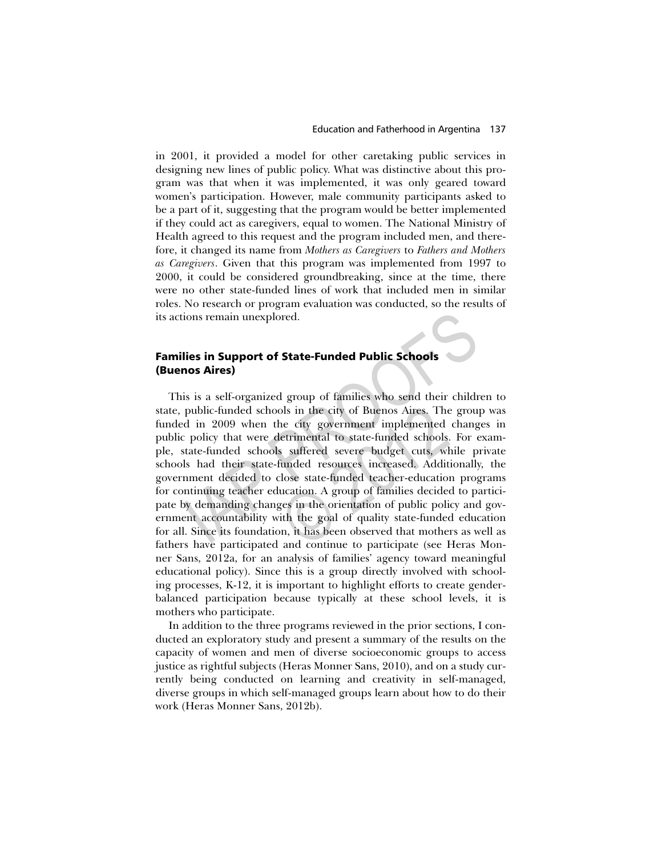in 2001, it provided a model for other caretaking public services in designing new lines of public policy. What was distinctive about this program was that when it was implemented, it was only geared toward women's participation. However, male community participants asked to be a part of it, suggesting that the program would be better implemented if they could act as caregivers, equal to women. The National Ministry of Health agreed to this request and the program included men, and therefore, it changed its name from Mothers as Caregivers to Fathers and Mothers as Caregivers. Given that this program was implemented from 1997 to 2000, it could be considered groundbreaking, since at the time, there were no other state-funded lines of work that included men in similar roles. No research or program evaluation was conducted, so the results of its actions remain unexplored.

# Families in Support of State-Funded Public Schools (Buenos Aires)

This is a self-organized group of families who send their children to state, public-funded schools in the city of Buenos Aires. The group was funded in 2009 when the city government implemented changes in public policy that were detrimental to state-funded schools. For example, state-funded schools suffered severe budget cuts, while private schools had their state-funded resources increased. Additionally, the government decided to close state-funded teacher-education programs for continuing teacher education. A group of families decided to participate by demanding changes in the orientation of public policy and government accountability with the goal of quality state-funded education for all. Since its foundation, it has been observed that mothers as well as fathers have participated and continue to participate (see Heras Monner Sans, 2012a, for an analysis of families' agency toward meaningful educational policy). Since this is a group directly involved with schooling processes, K-12, it is important to highlight efforts to create genderbalanced participation because typically at these school levels, it is mothers who participate.

In addition to the three programs reviewed in the prior sections, I conducted an exploratory study and present a summary of the results on the capacity of women and men of diverse socioeconomic groups to access justice as rightful subjects (Heras Monner Sans, 2010), and on a study currently being conducted on learning and creativity in self-managed, diverse groups in which self-managed groups learn about how to do their work (Heras Monner Sans, 2012b).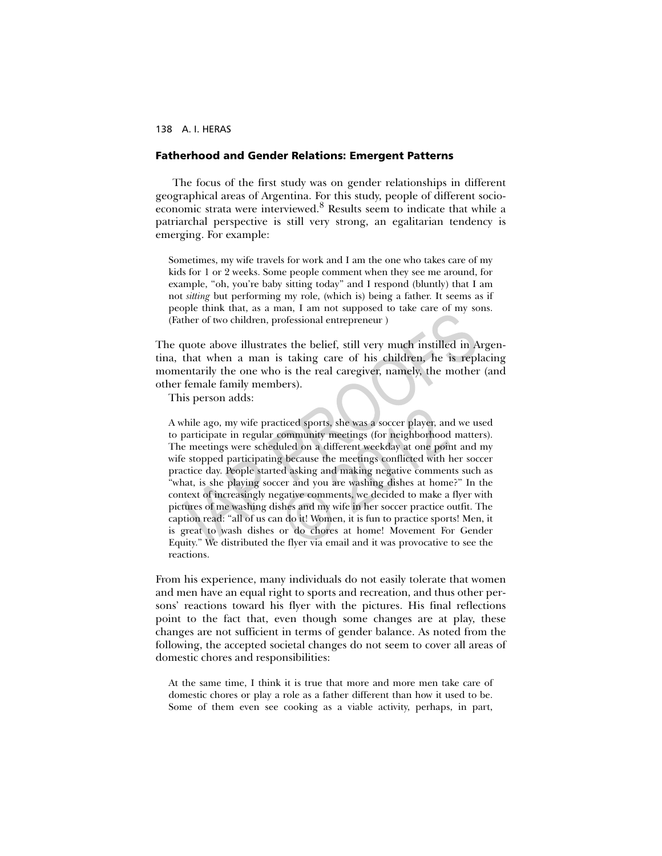#### Fatherhood and Gender Relations: Emergent Patterns

 The focus of the first study was on gender relationships in different geographical areas of Argentina. For this study, people of different socioeconomic strata were interviewed.8 Results seem to indicate that while a patriarchal perspective is still very strong, an egalitarian tendency is emerging. For example:

Sometimes, my wife travels for work and I am the one who takes care of my kids for 1 or 2 weeks. Some people comment when they see me around, for example, "oh, you're baby sitting today" and I respond (bluntly) that I am not sitting but performing my role, (which is) being a father. It seems as if people think that, as a man, I am not supposed to take care of my sons. (Father of two children, professional entrepreneur )

The quote above illustrates the belief, still very much instilled in Argentina, that when a man is taking care of his children, he is replacing momentarily the one who is the real caregiver, namely, the mother (and other female family members).

This person adds:

A while ago, my wife practiced sports, she was a soccer player, and we used to participate in regular community meetings (for neighborhood matters). The meetings were scheduled on a different weekday at one point and my wife stopped participating because the meetings conflicted with her soccer practice day. People started asking and making negative comments such as "what, is she playing soccer and you are washing dishes at home?" In the context of increasingly negative comments, we decided to make a flyer with pictures of me washing dishes and my wife in her soccer practice outfit. The caption read: "all of us can do it! Women, it is fun to practice sports! Men, it is great to wash dishes or do chores at home! Movement For Gender Equity." We distributed the flyer via email and it was provocative to see the reactions.

From his experience, many individuals do not easily tolerate that women and men have an equal right to sports and recreation, and thus other persons' reactions toward his flyer with the pictures. His final reflections point to the fact that, even though some changes are at play, these changes are not sufficient in terms of gender balance. As noted from the following, the accepted societal changes do not seem to cover all areas of domestic chores and responsibilities:

At the same time, I think it is true that more and more men take care of domestic chores or play a role as a father different than how it used to be. Some of them even see cooking as a viable activity, perhaps, in part,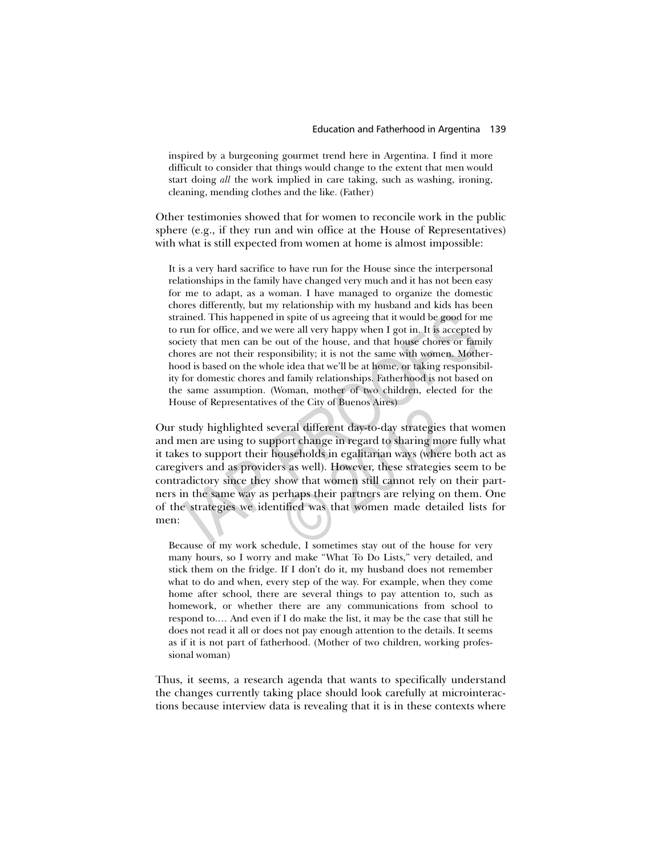inspired by a burgeoning gourmet trend here in Argentina. I find it more difficult to consider that things would change to the extent that men would start doing all the work implied in care taking, such as washing, ironing, cleaning, mending clothes and the like. (Father)

Other testimonies showed that for women to reconcile work in the public sphere (e.g., if they run and win office at the House of Representatives) with what is still expected from women at home is almost impossible:

It is a very hard sacrifice to have run for the House since the interpersonal relationships in the family have changed very much and it has not been easy for me to adapt, as a woman. I have managed to organize the domestic chores differently, but my relationship with my husband and kids has been strained. This happened in spite of us agreeing that it would be good for me to run for office, and we were all very happy when I got in. It is accepted by society that men can be out of the house, and that house chores or family chores are not their responsibility; it is not the same with women. Motherhood is based on the whole idea that we'll be at home, or taking responsibility for domestic chores and family relationships. Fatherhood is not based on the same assumption. (Woman, mother of two children, elected for the House of Representatives of the City of Buenos Aires)

Our study highlighted several different day-to-day strategies that women and men are using to support change in regard to sharing more fully what it takes to support their households in egalitarian ways (where both act as caregivers and as providers as well). However, these strategies seem to be contradictory since they show that women still cannot rely on their partners in the same way as perhaps their partners are relying on them. One of the strategies we identified was that women made detailed lists for men:

Because of my work schedule, I sometimes stay out of the house for very many hours, so I worry and make "What To Do Lists," very detailed, and stick them on the fridge. If I don't do it, my husband does not remember what to do and when, every step of the way. For example, when they come home after school, there are several things to pay attention to, such as homework, or whether there are any communications from school to respond to.… And even if I do make the list, it may be the case that still he does not read it all or does not pay enough attention to the details. It seems as if it is not part of fatherhood. (Mother of two children, working professional woman)

Thus, it seems, a research agenda that wants to specifically understand the changes currently taking place should look carefully at microinteractions because interview data is revealing that it is in these contexts where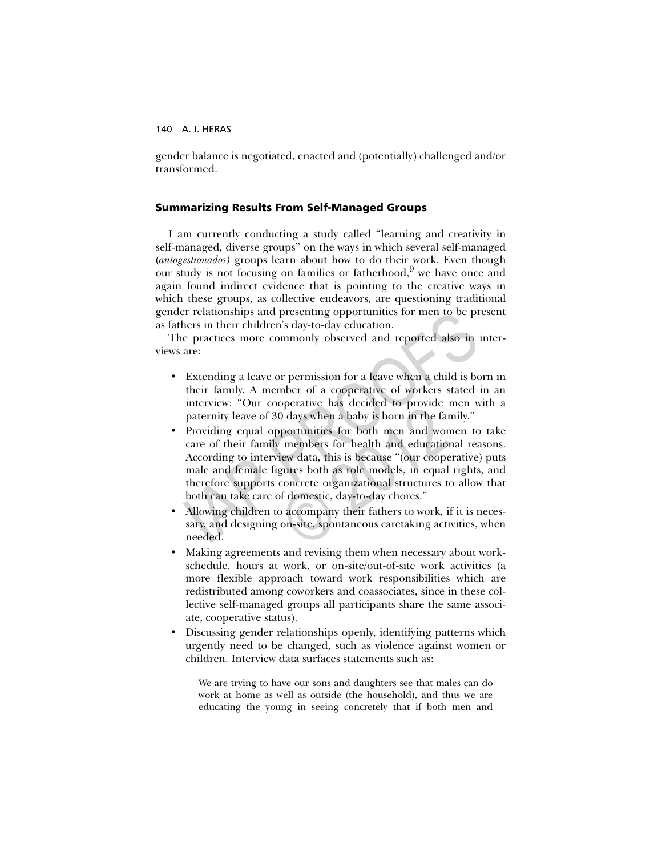gender balance is negotiated, enacted and (potentially) challenged and/or transformed.

#### Summarizing Results From Self-Managed Groups

I am currently conducting a study called "learning and creativity in self-managed, diverse groups" on the ways in which several self-managed (autogestionados) groups learn about how to do their work. Even though our study is not focusing on families or fatherhood,<sup>9</sup> we have once and again found indirect evidence that is pointing to the creative ways in which these groups, as collective endeavors, are questioning traditional gender relationships and presenting opportunities for men to be present as fathers in their children's day-to-day education.

The practices more commonly observed and reported also in interviews are:

- Extending a leave or permission for a leave when a child is born in their family. A member of a cooperative of workers stated in an interview: "Our cooperative has decided to provide men with a paternity leave of 30 days when a baby is born in the family."
- Providing equal opportunities for both men and women to take care of their family members for health and educational reasons. According to interview data, this is because "(our cooperative) puts male and female figures both as role models, in equal rights, and therefore supports concrete organizational structures to allow that both can take care of domestic, day-to-day chores."
- Allowing children to accompany their fathers to work, if it is necessary, and designing on-site, spontaneous caretaking activities, when needed.
- Making agreements and revising them when necessary about workschedule, hours at work, or on-site/out-of-site work activities (a more flexible approach toward work responsibilities which are redistributed among coworkers and coassociates, since in these collective self-managed groups all participants share the same associate, cooperative status).
- Discussing gender relationships openly, identifying patterns which urgently need to be changed, such as violence against women or children. Interview data surfaces statements such as:

We are trying to have our sons and daughters see that males can do work at home as well as outside (the household), and thus we are educating the young in seeing concretely that if both men and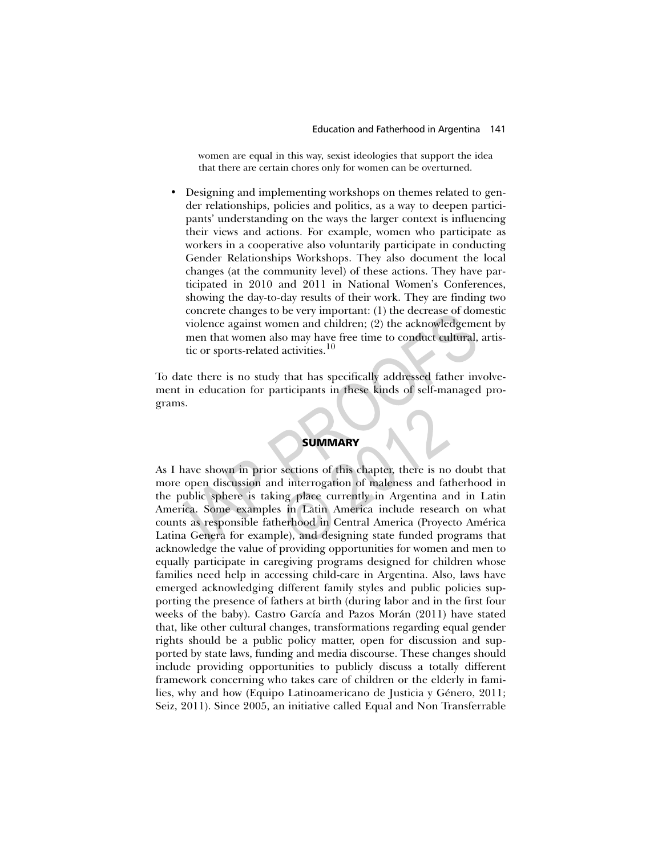women are equal in this way, sexist ideologies that support the idea that there are certain chores only for women can be overturned.

• Designing and implementing workshops on themes related to gender relationships, policies and politics, as a way to deepen participants' understanding on the ways the larger context is influencing their views and actions. For example, women who participate as workers in a cooperative also voluntarily participate in conducting Gender Relationships Workshops. They also document the local changes (at the community level) of these actions. They have participated in 2010 and 2011 in National Women's Conferences, showing the day-to-day results of their work. They are finding two concrete changes to be very important: (1) the decrease of domestic violence against women and children; (2) the acknowledgement by men that women also may have free time to conduct cultural, artistic or sports-related activities.<sup>10</sup>

To date there is no study that has specifically addressed father involvement in education for participants in these kinds of self-managed programs.

# **SUMMARY**

As I have shown in prior sections of this chapter, there is no doubt that more open discussion and interrogation of maleness and fatherhood in the public sphere is taking place currently in Argentina and in Latin America. Some examples in Latin America include research on what counts as responsible fatherhood in Central America (Proyecto América Latina Genera for example), and designing state funded programs that acknowledge the value of providing opportunities for women and men to equally participate in caregiving programs designed for children whose families need help in accessing child-care in Argentina. Also, laws have emerged acknowledging different family styles and public policies supporting the presence of fathers at birth (during labor and in the first four weeks of the baby). Castro García and Pazos Morán (2011) have stated that, like other cultural changes, transformations regarding equal gender rights should be a public policy matter, open for discussion and supported by state laws, funding and media discourse. These changes should include providing opportunities to publicly discuss a totally different framework concerning who takes care of children or the elderly in families, why and how (Equipo Latinoamericano de Justicia y Género, 2011; Seiz, 2011). Since 2005, an initiative called Equal and Non Transferrable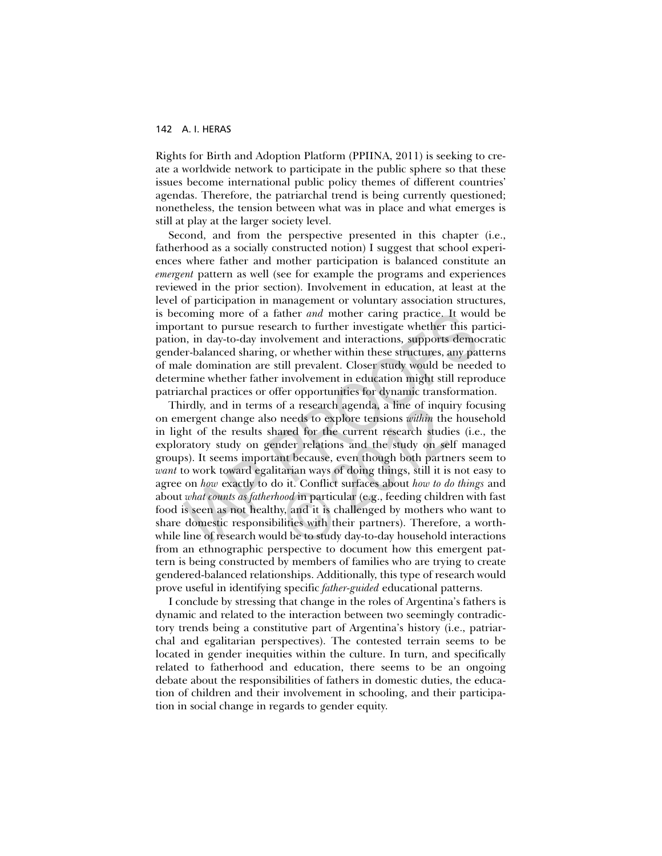Rights for Birth and Adoption Platform (PPIINA, 2011) is seeking to create a worldwide network to participate in the public sphere so that these issues become international public policy themes of different countries' agendas. Therefore, the patriarchal trend is being currently questioned; nonetheless, the tension between what was in place and what emerges is still at play at the larger society level.

Second, and from the perspective presented in this chapter (i.e., fatherhood as a socially constructed notion) I suggest that school experiences where father and mother participation is balanced constitute an emergent pattern as well (see for example the programs and experiences reviewed in the prior section). Involvement in education, at least at the level of participation in management or voluntary association structures, is becoming more of a father and mother caring practice. It would be important to pursue research to further investigate whether this participation, in day-to-day involvement and interactions, supports democratic gender-balanced sharing, or whether within these structures, any patterns of male domination are still prevalent. Closer study would be needed to determine whether father involvement in education might still reproduce patriarchal practices or offer opportunities for dynamic transformation.

Thirdly, and in terms of a research agenda, a line of inquiry focusing on emergent change also needs to explore tensions within the household in light of the results shared for the current research studies (i.e., the exploratory study on gender relations and the study on self managed groups). It seems important because, even though both partners seem to want to work toward egalitarian ways of doing things, still it is not easy to agree on how exactly to do it. Conflict surfaces about how to do things and about what counts as fatherhood in particular (e.g., feeding children with fast food is seen as not healthy, and it is challenged by mothers who want to share domestic responsibilities with their partners). Therefore, a worthwhile line of research would be to study day-to-day household interactions from an ethnographic perspective to document how this emergent pattern is being constructed by members of families who are trying to create gendered-balanced relationships. Additionally, this type of research would prove useful in identifying specific father-guided educational patterns.

I conclude by stressing that change in the roles of Argentina's fathers is dynamic and related to the interaction between two seemingly contradictory trends being a constitutive part of Argentina's history (i.e., patriarchal and egalitarian perspectives). The contested terrain seems to be located in gender inequities within the culture. In turn, and specifically related to fatherhood and education, there seems to be an ongoing debate about the responsibilities of fathers in domestic duties, the education of children and their involvement in schooling, and their participation in social change in regards to gender equity.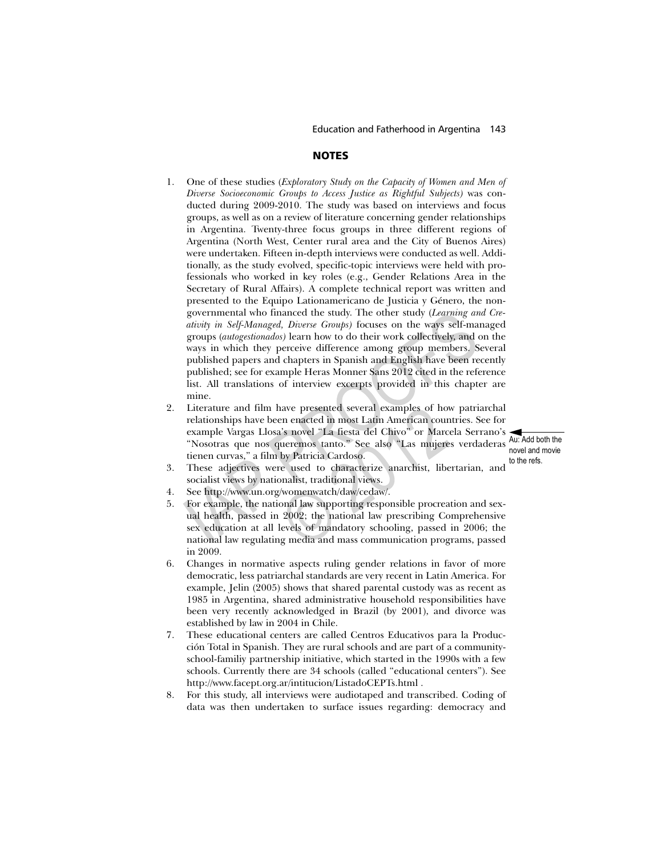#### NOTES

- 1. One of these studies (Exploratory Study on the Capacity of Women and Men of Diverse Socioeconomic Groups to Access Justice as Rightful Subjects) was conducted during 2009-2010. The study was based on interviews and focus groups, as well as on a review of literature concerning gender relationships in Argentina. Twenty-three focus groups in three different regions of Argentina (North West, Center rural area and the City of Buenos Aires) were undertaken. Fifteen in-depth interviews were conducted as well. Additionally, as the study evolved, specific-topic interviews were held with professionals who worked in key roles (e.g., Gender Relations Area in the Secretary of Rural Affairs). A complete technical report was written and presented to the Equipo Lationamericano de Justicia y Género, the nongovernmental who financed the study. The other study (Learning and Creativity in Self-Managed, Diverse Groups) focuses on the ways self-managed groups (autogestionados) learn how to do their work collectively, and on the ways in which they perceive difference among group members. Several published papers and chapters in Spanish and English have been recently published; see for example Heras Monner Sans 2012 cited in the reference list. All translations of interview excerpts provided in this chapter are mine.
- 2. Literature and film have presented several examples of how patriarchal relationships have been enacted in most Latin American countries. See for example Vargas Llosa's novel "La fiesta del Chivo" or Marcela Serrano's "Nosotras que nos queremos tanto." See also "Las mujeres verdaderas Au: Add both the tienen curvas," a film by Patricia Cardoso.

novel and movie to the refs.

- 3. These adjectives were used to characterize anarchist, libertarian, and socialist views by nationalist, traditional views.
- 4. See http://www.un.org/womenwatch/daw/cedaw/.
- 5. For example, the national law supporting responsible procreation and sexual health, passed in 2002; the national law prescribing Comprehensive sex education at all levels of mandatory schooling, passed in 2006; the national law regulating media and mass communication programs, passed in 2009.
- 6. Changes in normative aspects ruling gender relations in favor of more democratic, less patriarchal standards are very recent in Latin America. For example, Jelin (2005) shows that shared parental custody was as recent as 1985 in Argentina, shared administrative household responsibilities have been very recently acknowledged in Brazil (by 2001), and divorce was established by law in 2004 in Chile.
- 7. These educational centers are called Centros Educativos para la Producción Total in Spanish. They are rural schools and are part of a communityschool-familiy partnership initiative, which started in the 1990s with a few schools. Currently there are 34 schools (called "educational centers"). See http://www.facept.org.ar/intitucion/ListadoCEPTs.html .
- 8. For this study, all interviews were audiotaped and transcribed. Coding of data was then undertaken to surface issues regarding: democracy and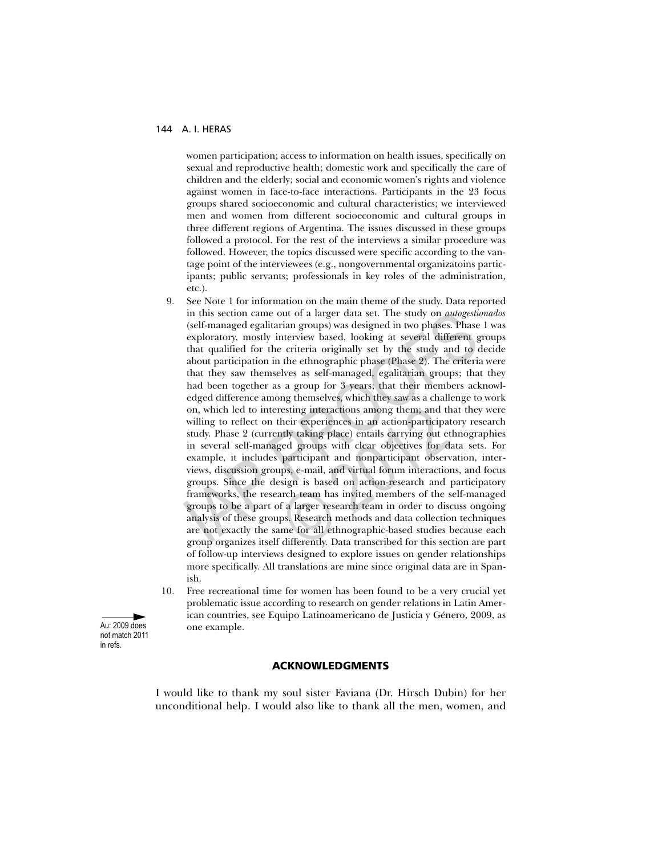women participation; access to information on health issues, specifically on sexual and reproductive health; domestic work and specifically the care of children and the elderly; social and economic women's rights and violence against women in face-to-face interactions. Participants in the 23 focus groups shared socioeconomic and cultural characteristics; we interviewed men and women from different socioeconomic and cultural groups in three different regions of Argentina. The issues discussed in these groups followed a protocol. For the rest of the interviews a similar procedure was followed. However, the topics discussed were specific according to the vantage point of the interviewees (e.g., nongovernmental organizatoins participants; public servants; professionals in key roles of the administration, etc.).

- 9. See Note 1 for information on the main theme of the study. Data reported in this section came out of a larger data set. The study on autogestionados (self-managed egalitarian groups) was designed in two phases. Phase 1 was exploratory, mostly interview based, looking at several different groups that qualified for the criteria originally set by the study and to decide about participation in the ethnographic phase (Phase 2). The criteria were that they saw themselves as self-managed, egalitarian groups; that they had been together as a group for 3 years; that their members acknowledged difference among themselves, which they saw as a challenge to work on, which led to interesting interactions among them; and that they were willing to reflect on their experiences in an action-participatory research study. Phase 2 (currently taking place) entails carrying out ethnographies in several self-managed groups with clear objectives for data sets. For example, it includes participant and nonparticipant observation, interviews, discussion groups, e-mail, and virtual forum interactions, and focus groups. Since the design is based on action-research and participatory frameworks, the research team has invited members of the self-managed groups to be a part of a larger research team in order to discuss ongoing analysis of these groups. Research methods and data collection techniques are not exactly the same for all ethnographic-based studies because each group organizes itself differently. Data transcribed for this section are part of follow-up interviews designed to explore issues on gender relationships more specifically. All translations are mine since original data are in Spanish.
- 10. Free recreational time for women has been found to be a very crucial yet problematic issue according to research on gender relations in Latin American countries, see Equipo Latinoamericano de Justicia y Género, 2009, as one example.

Au: 2009 does not match 2011 in refs.

#### ACKNOWLEDGMENTS

I would like to thank my soul sister Faviana (Dr. Hirsch Dubin) for her unconditional help. I would also like to thank all the men, women, and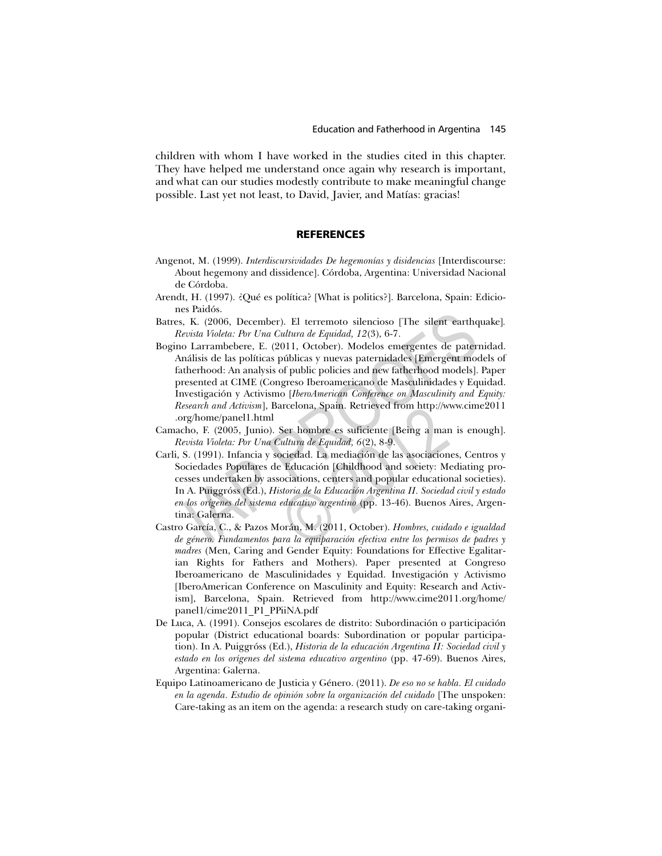children with whom I have worked in the studies cited in this chapter. They have helped me understand once again why research is important, and what can our studies modestly contribute to make meaningful change possible. Last yet not least, to David, Javier, and Matías: gracias!

#### **REFERENCES**

- Angenot, M. (1999). Interdiscursividades De hegemonías y disidencias [Interdiscourse: About hegemony and dissidence]. Córdoba, Argentina: Universidad Nacional de Córdoba.
- Arendt, H. (1997). ¿Qué es política? [What is politics?]. Barcelona, Spain: Ediciones Paidós.
- Batres, K. (2006, December). El terremoto silencioso [The silent earthquake]. Revista Violeta: Por Una Cultura de Equidad, 12(3), 6-7.
- Bogino Larrambebere, E. (2011, October). Modelos emergentes de paternidad. Análisis de las políticas públicas y nuevas paternidades [Emergent models of fatherhood: An analysis of public policies and new fatherhood models]. Paper presented at CIME (Congreso Iberoamericano de Masculinidades y Equidad. Investigación y Activismo [IberoAmerican Conference on Masculinity and Equity: Research and Activism], Barcelona, Spain. Retrieved from http://www.cime2011 .org/home/panel1.html
- Camacho, F. (2005, Junio). Ser hombre es suficiente [Being a man is enough]. Revista Violeta: Por Una Cultura de Equidad, 6(2), 8-9.
- Carli, S. (1991). Infancia y sociedad. La mediación de las asociaciones, Centros y Sociedades Populares de Educación [Childhood and society: Mediating processes undertaken by associations, centers and popular educational societies). In A. Puiggróss (Ed.), Historia de la Educación Argentina II. Sociedad civil y estado en los orígenes del sistema educativo argentino (pp. 13-46). Buenos Aires, Argentina: Galerna.
- Castro García, C., & Pazos Morán, M. (2011, October). Hombres, cuidado e igualdad de género. Fundamentos para la equiparación efectiva entre los permisos de padres y madres (Men, Caring and Gender Equity: Foundations for Effective Egalitarian Rights for Fathers and Mothers). Paper presented at Congreso Iberoamericano de Masculinidades y Equidad. Investigación y Activismo [IberoAmerican Conference on Masculinity and Equity: Research and Activism], Barcelona, Spain. Retrieved from http://www.cime2011.org/home/ panel1/cime2011\_P1\_PPiiNA.pdf
- De Luca, A. (1991). Consejos escolares de distrito: Subordinación o participación popular (District educational boards: Subordination or popular participation). In A. Puiggróss (Ed.), Historia de la educación Argentina II: Sociedad civil y estado en los orígenes del sistema educativo argentino (pp. 47-69). Buenos Aires, Argentina: Galerna.
- Equipo Latinoamericano de Justicia y Género. (2011). De eso no se habla. El cuidado en la agenda. Estudio de opinión sobre la organización del cuidado [The unspoken: Care-taking as an item on the agenda: a research study on care-taking organi-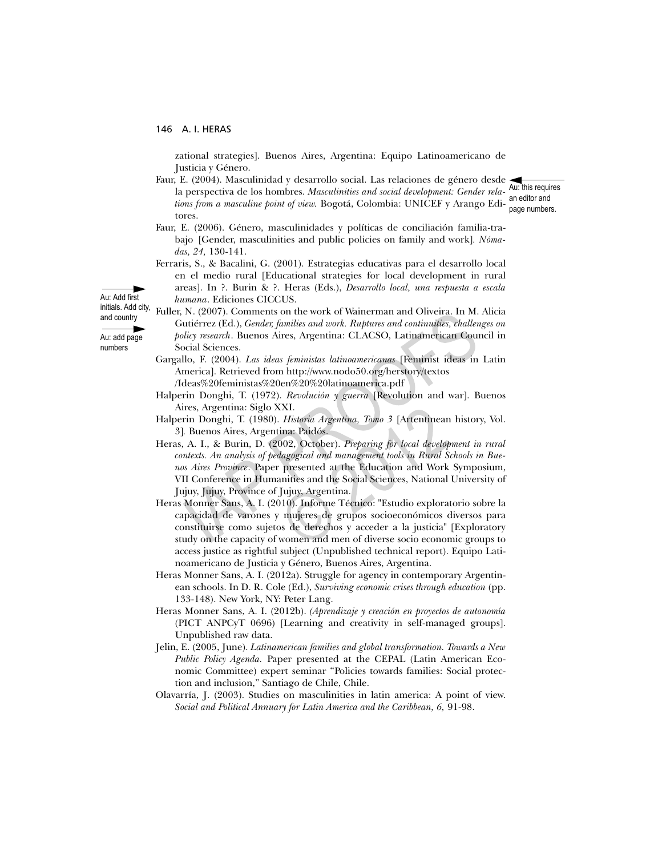zational strategies]. Buenos Aires, Argentina: Equipo Latinoamericano de Justicia y Género.

Faur, E. (2004). Masculinidad y desarrollo social. Las relaciones de género desde la perspectiva de los hombres. Masculinities and social development: Gender rela- Au: this requires tions from a masculine point of view. Bogotá, Colombia: UNICEF y Arango Editores. page numbers.

Faur, E. (2006). Género, masculinidades y políticas de conciliación familia-trabajo [Gender, masculinities and public policies on family and work]. Nómadas, 24, 130-141.

Ferraris, S., & Bacalini, G. (2001). Estrategias educativas para el desarrollo local en el medio rural [Educational strategies for local development in rural areas]. In ?. Burin & ?. Heras (Eds.), Desarrollo local, una respuesta a escala humana. Ediciones CICCUS.

- Fuller, N. (2007). Comments on the work of Wainerman and Oliveira. In M. Alicia Gutiérrez (Ed.), Gender, families and work. Ruptures and continuities, challenges on policy research. Buenos Aires, Argentina: CLACSO, Latinamerican Council in Social Sciences.
- Gargallo, F. (2004). Las ideas feministas latinoamericanas [Feminist ideas in Latin America]. Retrieved from http://www.nodo50.org/herstory/textos /Ideas%20feministas%20en%20%20latinoamerica.pdf
- Halperin Donghi, T. (1972). *Revolución* y *guerra* [Revolution and war]. Buenos Aires, Argentina: Siglo XXI.
- Halperin Donghi, T. (1980). Historia Argentina, Tomo 3 [Artentinean history, Vol. 3]. Buenos Aires, Argentina: Paidós.
- Heras, A. I., & Burin, D. (2002, October). Preparing for local development in rural contexts. An analysis of pedagogical and management tools in Rural Schools in Buenos Aires Province. Paper presented at the Education and Work Symposium, VII Conference in Humanities and the Social Sciences, National University of Jujuy, Jujuy, Province of Jujuy, Argentina.
- Heras Monner Sans, A. I. (2010). Informe Técnico: "Estudio exploratorio sobre la capacidad de varones y mujeres de grupos socioeconómicos diversos para constituirse como sujetos de derechos y acceder a la justicia" [Exploratory study on the capacity of women and men of diverse socio economic groups to access justice as rightful subject (Unpublished technical report). Equipo Latinoamericano de Justicia y Género, Buenos Aires, Argentina.
- Heras Monner Sans, A. I. (2012a). Struggle for agency in contemporary Argentinean schools. In D. R. Cole (Ed.), Surviving economic crises through education (pp. 133-148). New York, NY: Peter Lang.
- Heras Monner Sans, A. I. (2012b). (Aprendizaje y creación en proyectos de autonomía (PICT ANPCyT 0696) [Learning and creativity in self-managed groups]. Unpublished raw data.
- Jelin, E. (2005, June). Latinamerican families and global transformation. Towards a New Public Policy Agenda. Paper presented at the CEPAL (Latin American Economic Committee) expert seminar "Policies towards families: Social protection and inclusion," Santiago de Chile, Chile.
- Olavarría, J. (2003). Studies on masculinities in latin america: A point of view. Social and Political Annuary for Latin America and the Caribbean, 6, 91-98.

Au: Add first initials. Add city, and country

Au: add page numbers